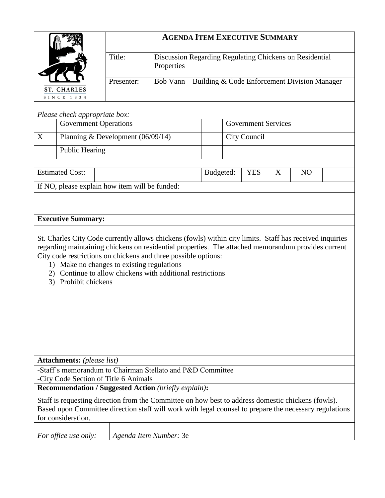|                                                                                                                                                                                                                                    |                                   | <b>AGENDA ITEM EXECUTIVE SUMMARY</b>       |                                                                                                                                                                                                                                                                                                                                                |                                   |              |  |  |  |  |
|------------------------------------------------------------------------------------------------------------------------------------------------------------------------------------------------------------------------------------|-----------------------------------|--------------------------------------------|------------------------------------------------------------------------------------------------------------------------------------------------------------------------------------------------------------------------------------------------------------------------------------------------------------------------------------------------|-----------------------------------|--------------|--|--|--|--|
|                                                                                                                                                                                                                                    |                                   | Title:                                     | Discussion Regarding Regulating Chickens on Residential<br>Properties                                                                                                                                                                                                                                                                          |                                   |              |  |  |  |  |
| <b>ST. CHARLES</b>                                                                                                                                                                                                                 |                                   | Presenter:                                 | Bob Vann - Building & Code Enforcement Division Manager                                                                                                                                                                                                                                                                                        |                                   |              |  |  |  |  |
|                                                                                                                                                                                                                                    | SINCE 1834                        |                                            |                                                                                                                                                                                                                                                                                                                                                |                                   |              |  |  |  |  |
|                                                                                                                                                                                                                                    | Please check appropriate box:     |                                            |                                                                                                                                                                                                                                                                                                                                                |                                   |              |  |  |  |  |
| <b>Government Operations</b>                                                                                                                                                                                                       |                                   |                                            | <b>Government Services</b>                                                                                                                                                                                                                                                                                                                     |                                   |              |  |  |  |  |
| X                                                                                                                                                                                                                                  | Planning & Development (06/09/14) |                                            |                                                                                                                                                                                                                                                                                                                                                |                                   | City Council |  |  |  |  |
|                                                                                                                                                                                                                                    | <b>Public Hearing</b>             |                                            |                                                                                                                                                                                                                                                                                                                                                |                                   |              |  |  |  |  |
| <b>Estimated Cost:</b>                                                                                                                                                                                                             |                                   |                                            | Budgeted:                                                                                                                                                                                                                                                                                                                                      | <b>YES</b><br>X<br>N <sub>O</sub> |              |  |  |  |  |
|                                                                                                                                                                                                                                    |                                   |                                            | If NO, please explain how item will be funded:                                                                                                                                                                                                                                                                                                 |                                   |              |  |  |  |  |
|                                                                                                                                                                                                                                    |                                   |                                            |                                                                                                                                                                                                                                                                                                                                                |                                   |              |  |  |  |  |
|                                                                                                                                                                                                                                    |                                   |                                            |                                                                                                                                                                                                                                                                                                                                                |                                   |              |  |  |  |  |
|                                                                                                                                                                                                                                    | <b>Executive Summary:</b>         |                                            |                                                                                                                                                                                                                                                                                                                                                |                                   |              |  |  |  |  |
| 3)                                                                                                                                                                                                                                 | Prohibit chickens                 | 1) Make no changes to existing regulations | St. Charles City Code currently allows chickens (fowls) within city limits. Staff has received inquiries<br>regarding maintaining chickens on residential properties. The attached memorandum provides current<br>City code restrictions on chickens and three possible options:<br>2) Continue to allow chickens with additional restrictions |                                   |              |  |  |  |  |
|                                                                                                                                                                                                                                    | <b>Attachments:</b> (please list) |                                            | -Staff's memorandum to Chairman Stellato and P&D Committee                                                                                                                                                                                                                                                                                     |                                   |              |  |  |  |  |
|                                                                                                                                                                                                                                    |                                   | -City Code Section of Title 6 Animals      |                                                                                                                                                                                                                                                                                                                                                |                                   |              |  |  |  |  |
|                                                                                                                                                                                                                                    |                                   |                                            | <b>Recommendation / Suggested Action (briefly explain):</b>                                                                                                                                                                                                                                                                                    |                                   |              |  |  |  |  |
| Staff is requesting direction from the Committee on how best to address domestic chickens (fowls).<br>Based upon Committee direction staff will work with legal counsel to prepare the necessary regulations<br>for consideration. |                                   |                                            |                                                                                                                                                                                                                                                                                                                                                |                                   |              |  |  |  |  |
|                                                                                                                                                                                                                                    | <i>For office use only:</i>       |                                            | Agenda Item Number: 3e                                                                                                                                                                                                                                                                                                                         |                                   |              |  |  |  |  |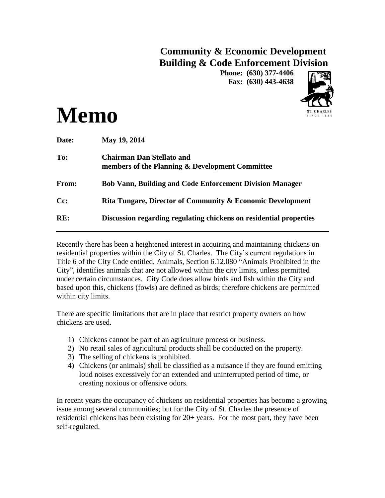# **Community & Economic Development Building & Code Enforcement Division**

**Phone: (630) 377-4406 Fax: (630) 443-4638**





| Date: | May 19, 2014                                                                        |
|-------|-------------------------------------------------------------------------------------|
| To:   | <b>Chairman Dan Stellato and</b><br>members of the Planning & Development Committee |
| From: | <b>Bob Vann, Building and Code Enforcement Division Manager</b>                     |
| Cc:   | Rita Tungare, Director of Community & Economic Development                          |
| RE:   | Discussion regarding regulating chickens on residential properties                  |

Recently there has been a heightened interest in acquiring and maintaining chickens on residential properties within the City of St. Charles. The City's current regulations in Title 6 of the City Code entitled, Animals, Section 6.12.080 "Animals Prohibited in the City", identifies animals that are not allowed within the city limits, unless permitted under certain circumstances. City Code does allow birds and fish within the City and based upon this, chickens (fowls) are defined as birds; therefore chickens are permitted within city limits.

There are specific limitations that are in place that restrict property owners on how chickens are used.

- 1) Chickens cannot be part of an agriculture process or business.
- 2) No retail sales of agricultural products shall be conducted on the property.
- 3) The selling of chickens is prohibited.
- 4) Chickens (or animals) shall be classified as a nuisance if they are found emitting loud noises excessively for an extended and uninterrupted period of time, or creating noxious or offensive odors.

In recent years the occupancy of chickens on residential properties has become a growing issue among several communities; but for the City of St. Charles the presence of residential chickens has been existing for 20+ years. For the most part, they have been self-regulated.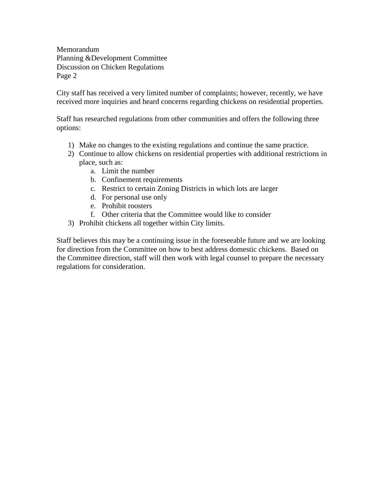Memorandum Planning &Development Committee Discussion on Chicken Regulations Page 2

City staff has received a very limited number of complaints; however, recently, we have received more inquiries and heard concerns regarding chickens on residential properties.

Staff has researched regulations from other communities and offers the following three options:

- 1) Make no changes to the existing regulations and continue the same practice.
- 2) Continue to allow chickens on residential properties with additional restrictions in place, such as:
	- a. Limit the number
	- b. Confinement requirements
	- c. Restrict to certain Zoning Districts in which lots are larger
	- d. For personal use only
	- e. Prohibit roosters
	- f. Other criteria that the Committee would like to consider
- 3) Prohibit chickens all together within City limits.

Staff believes this may be a continuing issue in the foreseeable future and we are looking for direction from the Committee on how to best address domestic chickens. Based on the Committee direction, staff will then work with legal counsel to prepare the necessary regulations for consideration.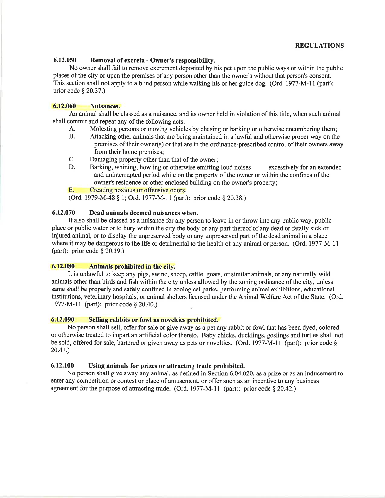# **REGULATIONS**

## 6.12.050 Removal of excreta - Owner's responsibility.

No owner shall fail to remove excrement deposited by his pet upon the public ways or within the public places of the city or upon the premises of any person other than the owner's without that person's consent. This section shall not apply to a blind person while walking his or her guide dog. (Ord. 1977-M-11 (part): prior code  $\S$  20.37.)

#### 6.12.060 **Nuisances.**

An animal shall be classed as a nuisance, and its owner held in violation of this title, when such animal shall commit and repeat any of the following acts:

- Molesting persons or moving vehicles by chasing or barking or otherwise encumbering them; A.
- **B.** Attacking other animals that are being maintained in a lawful and otherwise proper way on the premises of their owner(s) or that are in the ordinance-prescribed control of their owners away from their home premises;
- C. Damaging property other than that of the owner;
- D. Barking, whining, howling or otherwise emitting loud noises excessively for an extended and uninterrupted period while on the property of the owner or within the confines of the owner's residence or other enclosed building on the owner's property;

**E.** Creating noxious or offensive odors.

(Ord. 1979-M-48 § 1; Ord. 1977-M-11 (part): prior code § 20.38.)

#### 6.12.070 Dead animals deemed nuisances when.

It also shall be classed as a nuisance for any person to leave in or throw into any public way, public place or public water or to bury within the city the body or any part thereof of any dead or fatally sick or injured animal, or to display the unpreserved body or any unpreserved part of the dead animal in a place where it may be dangerous to the life or detrimental to the health of any animal or person. (Ord. 1977-M-11) (part): prior code  $\S$  20.39.)

#### 6.12.080 Animals prohibited in the city.

It is unlawful to keep any pigs, swine, sheep, cattle, goats, or similar animals, or any naturally wild animals other than birds and fish within the city unless allowed by the zoning ordinance of the city, unless same shall be properly and safely confined in zoological parks, performing animal exhibitions, educational institutions, veterinary hospitals, or animal shelters licensed under the Animal Welfare Act of the State. (Ord. 1977-M-11 (part): prior code § 20.40.)

### 6.12.090 Selling rabbits or fowl as novelties prohibited.

No person shall sell, offer for sale or give away as a pet any rabbit or fowl that has been dyed, colored or otherwise treated to impart an artificial color thereto. Baby chicks, ducklings, goslings and turtles shall not be sold, offered for sale, bartered or given away as pets or novelties. (Ord. 1977-M-11 (part): prior code §  $20.41.$ 

### 6.12.100 Using animals for prizes or attracting trade prohibited.

No person shall give away any animal, as defined in Section 6.04.020, as a prize or as an inducement to enter any competition or contest or place of amusement, or offer such as an incentive to any business agreement for the purpose of attracting trade. (Ord. 1977-M-11 (part): prior code  $\S 20.42$ .)